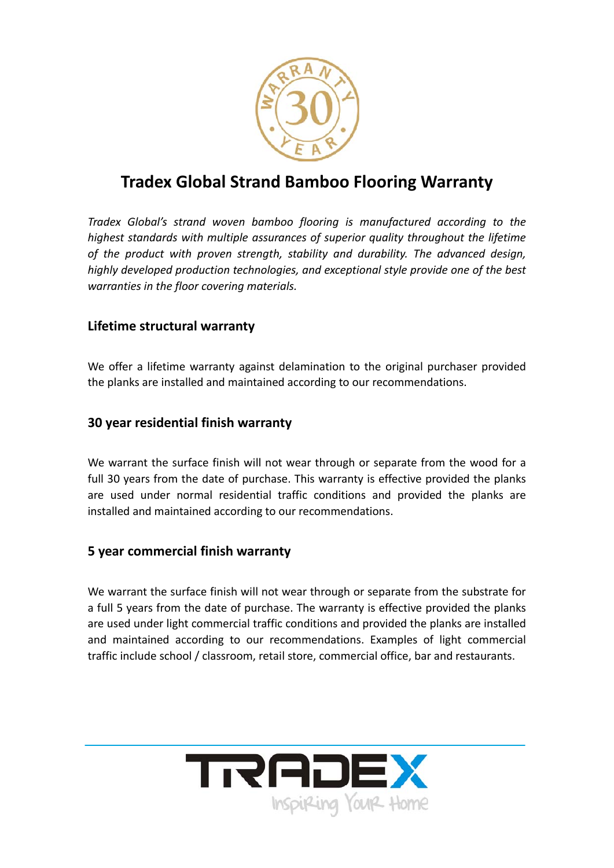

## **Tradex Global Strand Bamboo Flooring Warranty**

*Tradex Global's strand woven bamboo flooring is manufactured according to the highest standards with multiple assurances of superior quality throughout the lifetime of the product with proven strength, stability and durability. The advanced design, highly developed production technologies, and exceptional style provide one of the best warranties in the floor covering materials.*

## **Lifetime structural warranty**

We offer a lifetime warranty against delamination to the original purchaser provided the planks are installed and maintained according to our recommendations.

## **30 year residential finish warranty**

We warrant the surface finish will not wear through or separate from the wood for a full 30 years from the date of purchase. This warranty is effective provided the planks are used under normal residential traffic conditions and provided the planks are installed and maintained according to our recommendations.

## **5 year commercial finish warranty**

We warrant the surface finish will not wear through or separate from the substrate for a full 5 years from the date of purchase. The warranty is effective provided the planks are used under light commercial traffic conditions and provided the planks are installed and maintained according to our recommendations. Examples of light commercial traffic include school / classroom, retail store, commercial office, bar and restaurants.